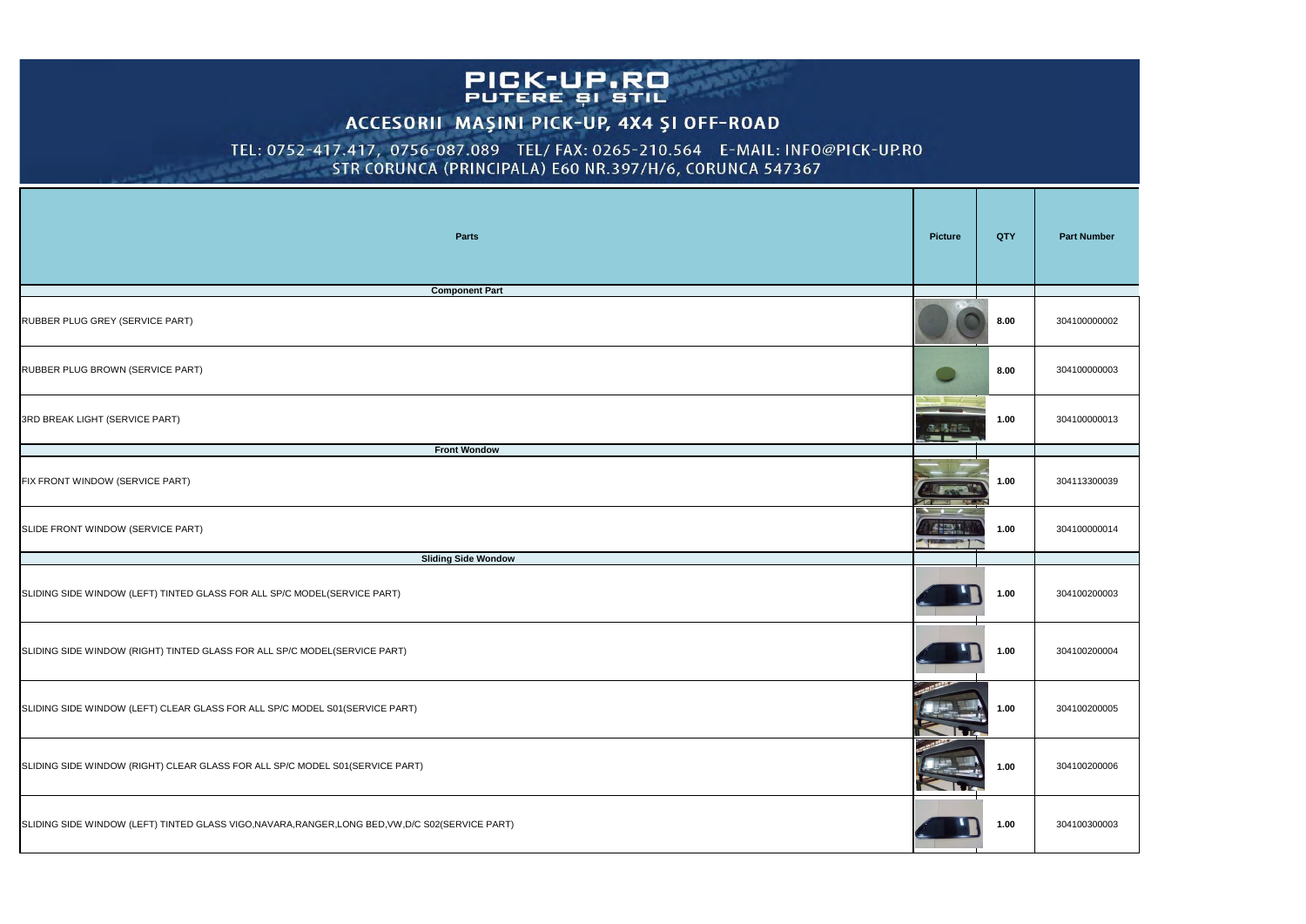## PICK-UP.RO<br>PUTERE ȘI STIL

ACCESORII MAŞINI PICK-UP, 4X4 ŞI OFF-ROAD

TEL: 0752-417.417, 0756-087.089 TEL/ FAX: 0265-210.564 E-MAIL: INFO@PICK-UP.RO<br>STR CORUNCA (PRINCIPALA) E60 NR.397/H/6, CORUNCA 547367

| <b>Parts</b> | <b>Picture</b>                         | <b>QTY</b>         | <b>Part Number</b> |
|--------------|----------------------------------------|--------------------|--------------------|
| onent Part   |                                        |                    |                    |
|              |                                        | 8.00               | 304100000002       |
|              |                                        | 8.00               | 304100000003       |
|              | <b>ALBER</b>                           | 1.00               | 304100000013       |
| t Wondow     |                                        |                    |                    |
|              | <b>SYST</b><br>$\sqrt{2}$<br><b>TY</b> | 1.00<br><u>and</u> | 304113300039       |
|              | AND<br>Leave that                      | 1.00               | 304100000014       |
| Side Wondow  |                                        |                    |                    |
|              |                                        | 1.00               | 304100200003       |
|              |                                        | 1.00               | 304100200004       |
|              | 明日                                     | 1.00               | 304100200005       |
|              | <b>1212 EREC</b>                       | 1.00               | 304100200006       |
| RVICE PART)  |                                        | 1.00               | 304100300003       |

| <b>Parts</b>                                                                                       | <b>Picture</b>                                                                                                                                                                                                                         | <b>QTY</b> | <b>Part Number</b> |
|----------------------------------------------------------------------------------------------------|----------------------------------------------------------------------------------------------------------------------------------------------------------------------------------------------------------------------------------------|------------|--------------------|
| <b>Component Part</b>                                                                              |                                                                                                                                                                                                                                        |            |                    |
| <b>RUBBER PLUG GREY (SERVICE PART)</b>                                                             |                                                                                                                                                                                                                                        | 8.00       | 304100000002       |
| RUBBER PLUG BROWN (SERVICE PART)                                                                   |                                                                                                                                                                                                                                        | 8.00       | 304100000003       |
| 3RD BREAK LIGHT (SERVICE PART)                                                                     | <b>ALSEE</b><br>2000                                                                                                                                                                                                                   | 1.00       | 304100000013       |
| <b>Front Wondow</b>                                                                                |                                                                                                                                                                                                                                        |            |                    |
| <b>FIX FRONT WINDOW (SERVICE PART)</b>                                                             | <b>USSE</b><br>A T YES                                                                                                                                                                                                                 | 1.00       | 304113300039       |
| SLIDE FRONT WINDOW (SERVICE PART)                                                                  | AT ND<br>The state of the state of the contract of the contract of the contract of the contract of the contract of the contract of the contract of the contract of the contract of the contract of the contract of the contract of the | 1.00       | 304100000014       |
| <b>Sliding Side Wondow</b>                                                                         |                                                                                                                                                                                                                                        |            |                    |
| SLIDING SIDE WINDOW (LEFT) TINTED GLASS FOR ALL SP/C MODEL(SERVICE PART)                           |                                                                                                                                                                                                                                        | 1.00       | 304100200003       |
| SLIDING SIDE WINDOW (RIGHT) TINTED GLASS FOR ALL SP/C MODEL(SERVICE PART)                          |                                                                                                                                                                                                                                        | 1.00       | 304100200004       |
| SLIDING SIDE WINDOW (LEFT) CLEAR GLASS FOR ALL SP/C MODEL S01 (SERVICE PART)                       |                                                                                                                                                                                                                                        | 1.00       | 304100200005       |
| SLIDING SIDE WINDOW (RIGHT) CLEAR GLASS FOR ALL SP/C MODEL S01 (SERVICE PART)                      |                                                                                                                                                                                                                                        | 1.00       | 304100200006       |
| SLIDING SIDE WINDOW (LEFT) TINTED GLASS VIGO, NAVARA, RANGER, LONG BED, VW, D/C S02 (SERVICE PART) |                                                                                                                                                                                                                                        | 1.00       | 304100300003       |
|                                                                                                    |                                                                                                                                                                                                                                        |            |                    |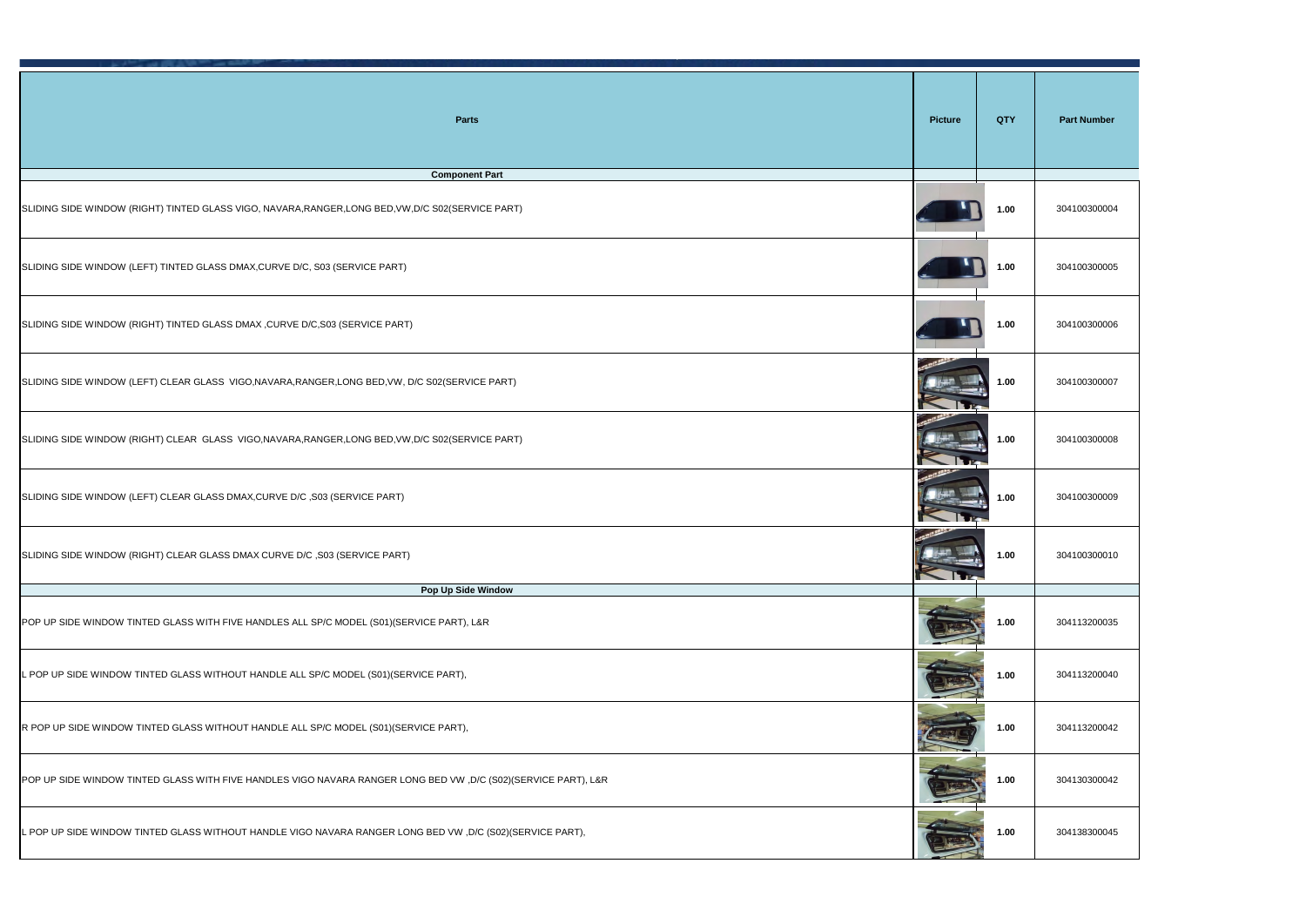| <b>Parts</b>                    | <b>Picture</b>     | <b>QTY</b> | <b>Part Number</b> |
|---------------------------------|--------------------|------------|--------------------|
| onent Part                      |                    |            |                    |
| <b>SERVICE PART)</b>            |                    | 1.00       | 304100300004       |
|                                 |                    | 1.00       | 304100300005       |
|                                 |                    | 1.00       | 304100300006       |
| <b>RVICE PART)</b>              | 地理学<br><u>Size</u> | 1.00       | 304100300007       |
| <b>SERVICE PART)</b>            | <b>PARTIES</b>     | 1.00       | 304100300008       |
|                                 |                    | 1.00       | 304100300009       |
|                                 | 地理工程               | 1.00       | 304100300010       |
| <b>Side Window</b>              |                    |            |                    |
| (T), L&R                        |                    | 1.00       | 304113200035       |
| T),                             |                    | 1.00       | 304113200040       |
| :T),                            | $\rightarrow$      | 1.00       | 304113200042       |
| W, D/C (S02)(SERVICE PART), L&R |                    | 1.00       | 304130300042       |
| W, D/C (S02)(SERVICE PART),     |                    | 1.00       | 304138300045       |

SLIDING SIDE WINDOW (LEFT) CLEAR GLASS DMAX,CURVE D/C ,S03 (SERVICE PART) **1.00** 304100300009

SLIDING SIDE WINDOW (RIGHT) CLEAR GLASS VIGO,NAVARA,RANGER,LONG BED,VW,D/C S02(SERVICE PART)

SLIDING SIDE WINDOW (LEFT) CLEAR GLASS VIGO,NAVARA,RANGER,LONG BED,VW, D/C S02(SERVICE PART)

SLIDING SIDE WINDOW (RIGHT) TINTED GLASS DMAX , CURVE D/C, S03 (SERVICE PART)

SLIDING SIDE WINDOW (LEFT) TINTED GLASS DMAX,CURVE D/C, S03 (SERVICE PART)

SLIDING SIDE WINDOW (RIGHT) TINTED GLASS VIGO, NAVARA,RANGER,LONG BED,VW,D/C S02(SERVICE PART)

**Pop Up Side Window**

SLIDING SIDE WINDOW (RIGHT) CLEAR GLASS DMAX CURVE D/C ,S03 (SERVICE PART)

L POP UP SIDE WINDOW TINTED GLASS WITHOUT HANDLE VIGO NAVARA RANGER LONG BED VW ,D/C (S02)(SERVICE PART),

POP UP SIDE WINDOW TINTED GLASS WITH FIVE HANDLES VIGO NAVARA RANGER LONG BED VW ,D/C (S02)(SERVICE PART), L&R **1.00** 304130300042

R POP UP SIDE WINDOW TINTED GLASS WITHOUT HANDLE ALL SP/C MODEL (S01)(SERVICE PART),

L POP UP SIDE WINDOW TINTED GLASS WITHOUT HANDLE ALL SP/C MODEL (S01)(SERVICE PART),

POP UP SIDE WINDOW TINTED GLASS WITH FIVE HANDLES ALL SP/C MODEL (S01)(SERVICE PART), L&R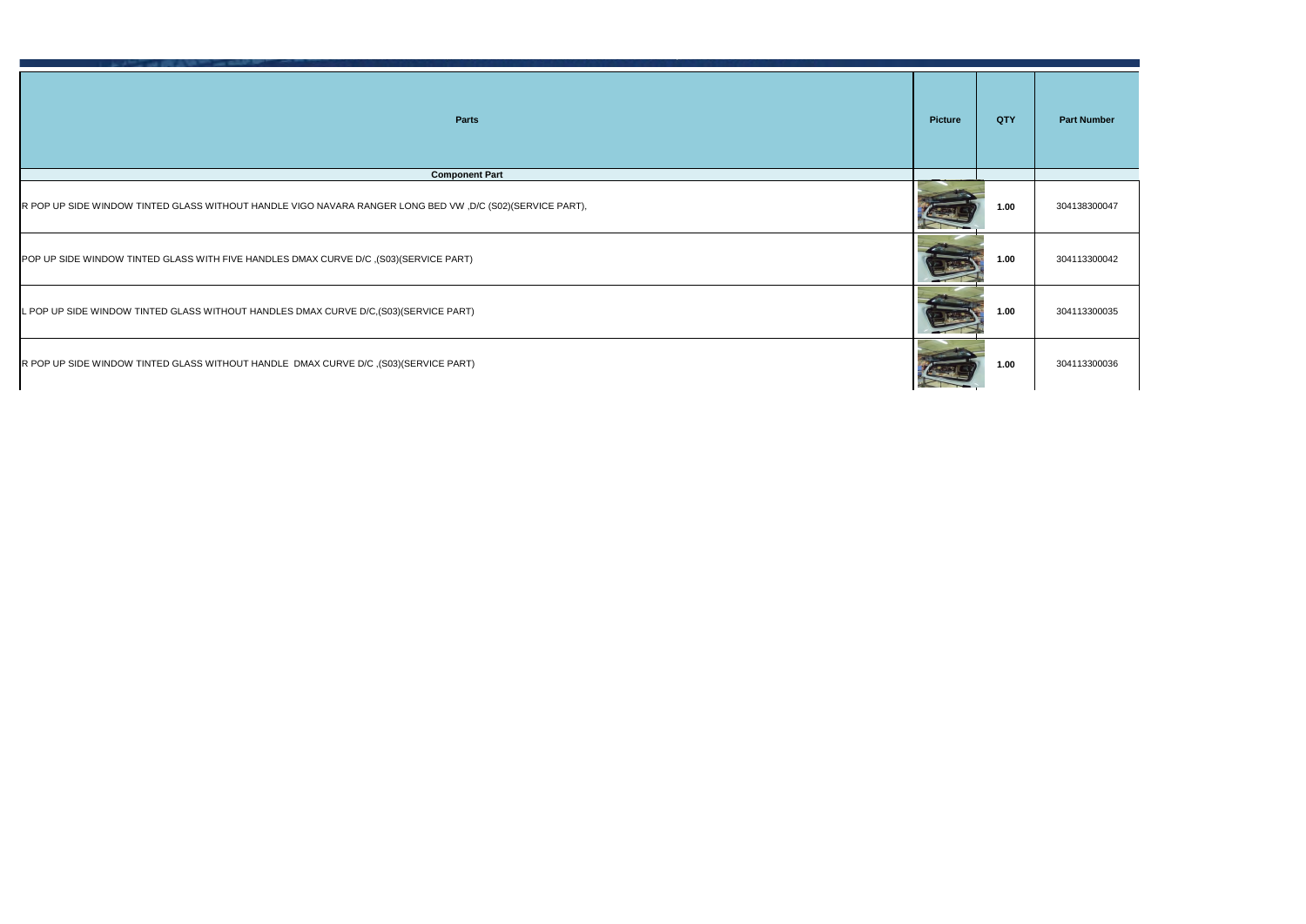| <b>Parts</b>                  | <b>Picture</b> | <b>QTY</b> | <b>Part Number</b> |
|-------------------------------|----------------|------------|--------------------|
| onent Part                    |                |            |                    |
| W , D/C (S02) (SERVICE PART), |                | 1.00       | 304138300047       |
| (RT)                          |                | 1.00       | 304113300042       |
| <b>ART)</b>                   |                | 1.00       | 304113300035       |
| ART)                          |                | 1.00       | 304113300036       |

R POP UP SIDE WINDOW TINTED GLASS WITHOUT HANDLE VIGO NAVARA RANGER LONG BED VW ,D/C (S02)(SERVICE PART),

POP UP SIDE WINDOW TINTED GLASS WITH FIVE HANDLES DMAX CURVE D/C ,(S03)(SERVICE PART)

L POP UP SIDE WINDOW TINTED GLASS WITHOUT HANDLES DMAX CURVE D/C,(S03)(SERVICE PART)

R POP UP SIDE WINDOW TINTED GLASS WITHOUT HANDLE DMAX CURVE D/C ,(S03)(SERVICE PART)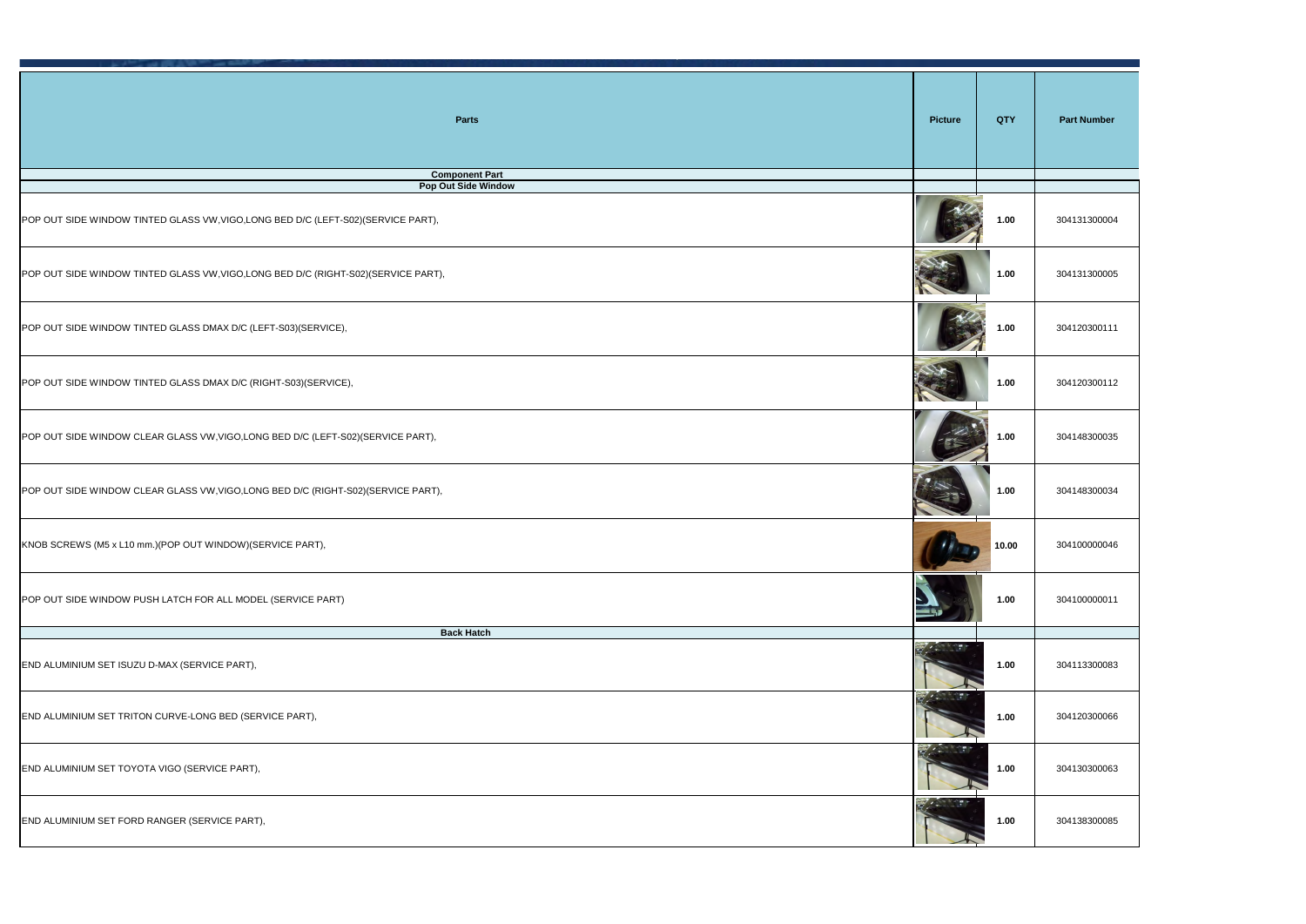| <b>Parts</b>                                 | <b>Picture</b>                                           | <b>QTY</b> | <b>Part Number</b> |
|----------------------------------------------|----------------------------------------------------------|------------|--------------------|
| <b>Component Part</b><br>Pop Out Side Window |                                                          |            |                    |
| 02)(SERVICE PART),                           |                                                          | 1.00       | 304131300004       |
| S02)(SERVICE PART),                          |                                                          | 1.00       | 304131300005       |
|                                              |                                                          | 1.00       | 304120300111       |
|                                              |                                                          | 1.00       | 304120300112       |
| 02)(SERVICE PART),                           |                                                          | 1.00       | 304148300035       |
| 602) (SERVICE PART),                         |                                                          | 1.00       | 304148300034       |
|                                              |                                                          | 10.00      | 304100000046       |
|                                              |                                                          | 1.00       | 304100000011       |
| <b>Back Hatch</b>                            |                                                          |            |                    |
|                                              | $= - \frac{1}{2} \frac{1}{2} \left( \frac{1}{2} \right)$ | 1.00       | 304113300083       |
|                                              | $\frac{1}{2}$                                            | 1.00       | 304120300066       |
|                                              | $\frac{1}{2}$                                            | 1.00       | 304130300063       |
|                                              | $\mathbb{Z}$                                             | 1.00       | 304138300085       |

POP OUT SIDE WINDOW TINTED GLASS VW, VIGO, LONG BED D/C (LEFT-S0

POP OUT SIDE WINDOW TINTED GLASS VW, VIGO, LONG BED D/C (RIGHT-S

POP OUT SIDE WINDOW TINTED GLASS DMAX D/C (LEFT-S03)(SERVICE),

POP OUT SIDE WINDOW TINTED GLASS DMAX D/C (RIGHT-S03)(SERVICE),

POP OUT SIDE WINDOW CLEAR GLASS VW, VIGO, LONG BED D/C (LEFT-S02

POP OUT SIDE WINDOW CLEAR GLASS VW, VIGO, LONG BED D/C (RIGHT-SO

KNOB SCREWS (M5 x L10 mm.)(POP OUT WINDOW)(SERVICE PART),

POP OUT SIDE WINDOW PUSH LATCH FOR ALL MODEL (SERVICE PART)

**END ALUMINIUM SET ISUZU D-MAX (SERVICE PART),** 

**END ALUMINIUM SET TRITON CURVE-LONG BED (SERVICE PART),** 

**END ALUMINIUM SET TOYOTA VIGO (SERVICE PART),** 

**END ALUMINIUM SET FORD RANGER (SERVICE PART),**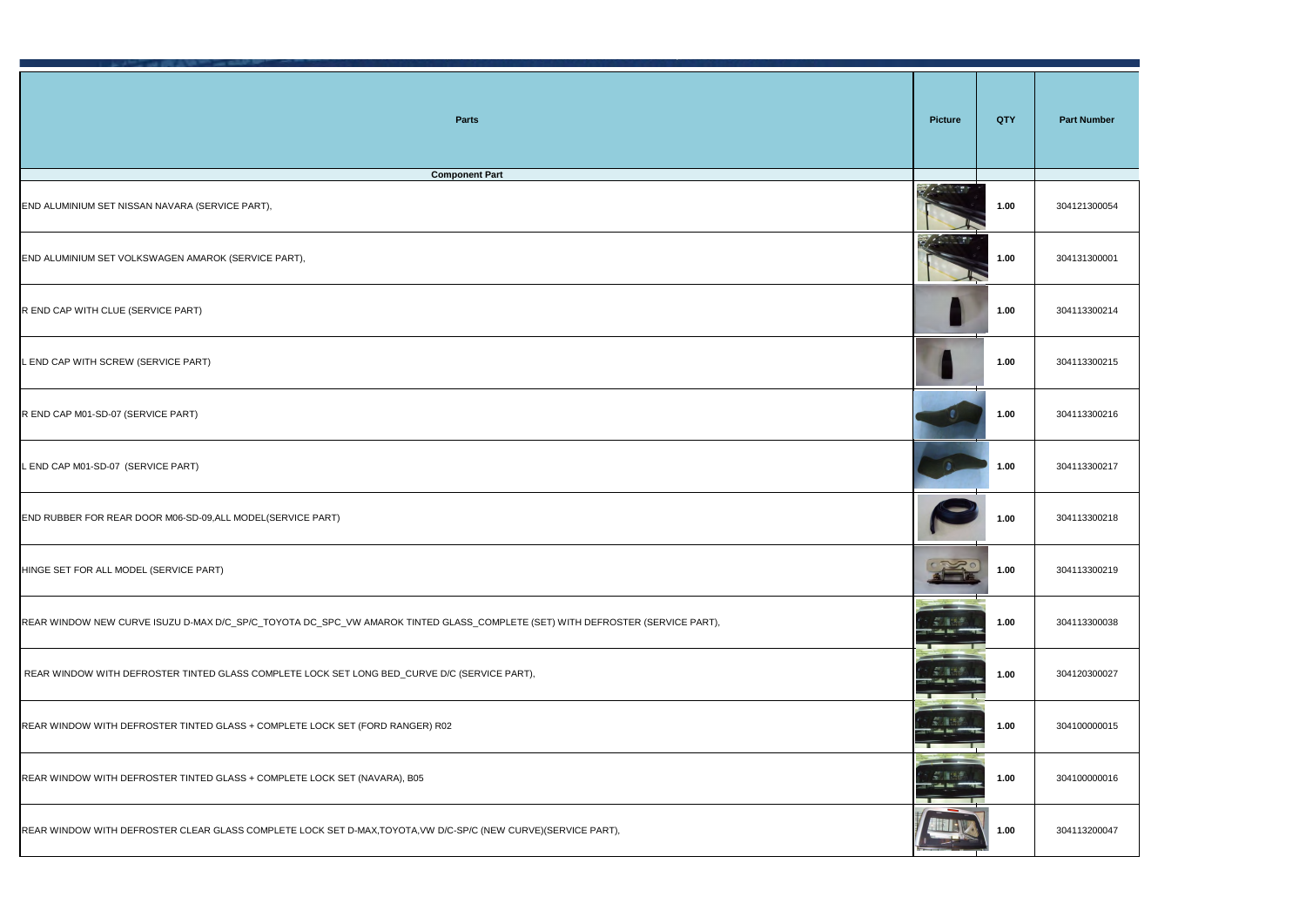| <b>Parts</b>                                      | <b>Picture</b>                                                                                    | <b>QTY</b> | <b>Part Number</b> |
|---------------------------------------------------|---------------------------------------------------------------------------------------------------|------------|--------------------|
| onent Part                                        |                                                                                                   |            |                    |
|                                                   | $\frac{1}{\sqrt{2}} = \frac{1}{2} \frac{1}{2} \sum_{i=1}^{n} \frac{1}{i} \frac{1}{i} \frac{1}{i}$ | 1.00       | 304121300054       |
|                                                   | $= -\pi r$                                                                                        | 1.00       | 304131300001       |
|                                                   |                                                                                                   | 1.00       | 304113300214       |
|                                                   |                                                                                                   | 1.00       | 304113300215       |
|                                                   |                                                                                                   | 1.00       | 304113300216       |
|                                                   |                                                                                                   | 1.00       | 304113300217       |
|                                                   |                                                                                                   | 1.00       | 304113300218       |
|                                                   |                                                                                                   | 1.00       | 304113300219       |
| ASS_COMPLETE (SET) WITH DEFROSTER (SERVICE PART), |                                                                                                   | 1.00       | 304113300038       |
| (SERVICE PART),                                   |                                                                                                   | 1.00       | 304120300027       |
|                                                   |                                                                                                   | 1.00       | 304100000015       |
|                                                   |                                                                                                   | 1.00       | 304100000016       |
| SP/C (NEW CURVE)(SERVICE PART),                   |                                                                                                   | $1.00$     | 304113200047       |

**Component Part END ALUMINIUM SET NISSAN NAVARA (SERVICE PART), END ALUMINIUM SET VOLKSWAGEN AMAROK (SERVICE PART),** R END CAP WITH CLUE (SERVICE PART) L END CAP WITH SCREW (SERVICE PART) R END CAP M01-SD-07 (SERVICE PART) L END CAP M01-SD-07 (SERVICE PART) END RUBBER FOR REAR DOOR M06-SD-09,ALL MODEL(SERVICE PART) **HINGE SET FOR ALL MODEL (SERVICE PART)** REAR WINDOW NEW CURVE ISUZU D-MAX D/C\_SP/C\_TOYOTA DC\_SPC\_VW AMAROK TINTED GLASS\_COMPLETE (SET) WITH DEFROSTER (SERVICE P/ REAR WINDOW WITH DEFROSTER TINTED GLASS COMPLETE LOCK SET LONG BED\_CURVE D/C (SERVICE PART), REAR WINDOW WITH DEFROSTER TINTED GLASS + COMPLETE LOCK SET (FORD RANGER) R02 REAR WINDOW WITH DEFROSTER TINTED GLASS + COMPLETE LOCK SET (NAVARA), B05 REAR WINDOW WITH DEFROSTER CLEAR GLASS COMPLETE LOCK SET D-MAX,TOYOTA,VW D/C-SP/C (NEW CURVE)(SERVICE PART),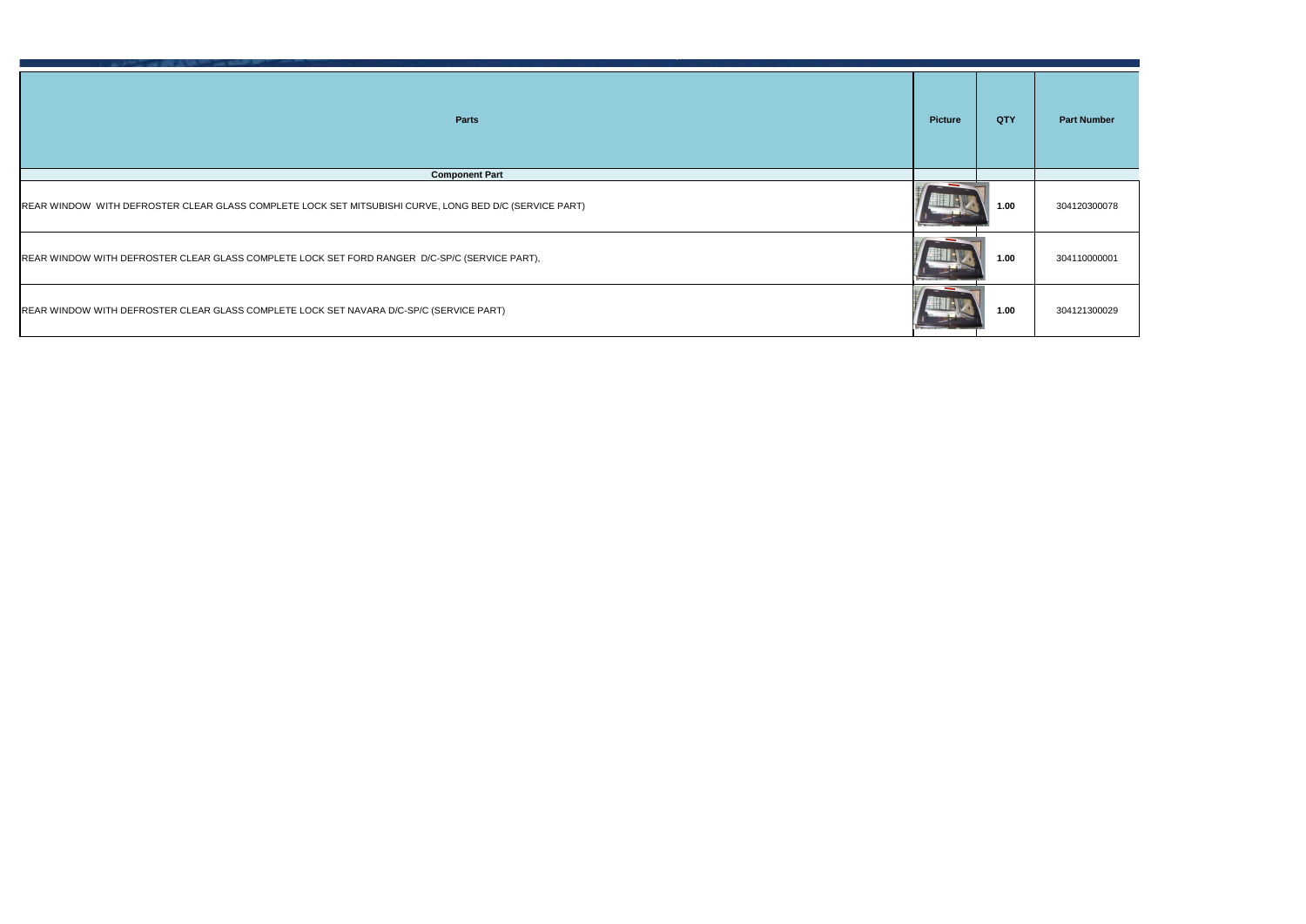| <b>Parts</b>              | <b>Picture</b> | <b>QTY</b> | <b>Part Number</b> |
|---------------------------|----------------|------------|--------------------|
| onent Part                |                |            |                    |
| NG BED D/C (SERVICE PART) |                | 1.00       | 304120300078       |
| C (SERVICE PART),         |                | 1.00       | 304110000001       |
| <b>JICE PART)</b>         |                | 1.00       | 304121300029       |

REAR WINDOW WITH DEFROSTER CLEAR GLASS COMPLETE LOCK SET MITSUBISHI CURVE, LONG BED D/C (SERVICE PART)

REAR WINDOW WITH DEFROSTER CLEAR GLASS COMPLETE LOCK SET FORD RANGER D/C-SP/C (SERVICE PART),

REAR WINDOW WITH DEFROSTER CLEAR GLASS COMPLETE LOCK SET NAVARA D/C-SP/C (SERVICE PART)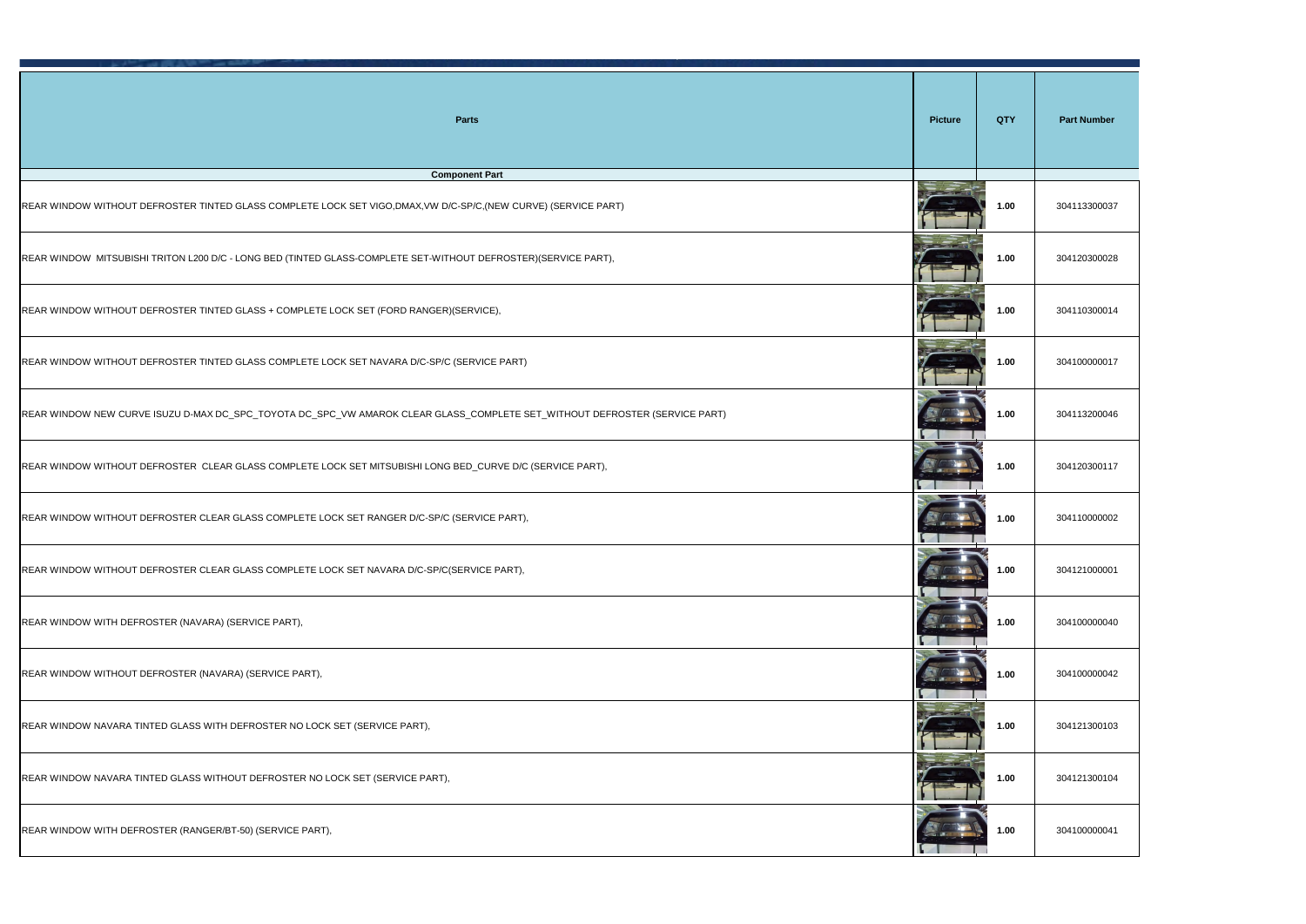| <b>Parts</b>                                     | <b>Picture</b> | <b>QTY</b> | <b>Part Number</b> |
|--------------------------------------------------|----------------|------------|--------------------|
| onent Part                                       |                |            |                    |
| :-SP/C,(NEW CURVE) (SERVICE PART)                |                | 1.00       | 304113300037       |
| OUT DEFROSTER)(SERVICE PART),                    |                | 1.00       | 304120300028       |
| SERVICE),                                        |                | 1.00       | 304110300014       |
| SERVICE PART)                                    |                | 1.00       | 304100000017       |
| SS_COMPLETE SET_WITHOUT DEFROSTER (SERVICE PART) |                | 1.00       | 304113200046       |
| BED_CURVE D/C (SERVICE PART),                    |                | 1.00       | 304120300117       |
| SERVICE PART),                                   |                | 1.00       | 304110000002       |
| <b>ERVICE PART),</b>                             |                | 1.00       | 304121000001       |
|                                                  |                | $1.00$     | 304100000040       |
|                                                  |                | 1.00       | 304100000042       |
|                                                  |                | 1.00       | 304121300103       |
|                                                  | ENE SIGN       | 1.00       | 304121300104       |
|                                                  |                | 1.00       | 304100000041       |

REAR WINDOW WITHOUT DEFROSTER TINTED GLASS COMPLETE LOCK SET VIGO,DMAX,VW D/C-SP/C,(NEW CURVE) (SERVICE PART)

REAR WINDOW MITSUBISHI TRITON L200 D/C - LONG BED (TINTED GLASS-COMPLETE SET-WITHOUT DEFROSTER)(SERVICE PART),

REAR WINDOW WITHOUT DEFROSTER TINTED GLASS + COMPLETE LOCK SET (FORD RANGER)(SERVICE),

REAR WINDOW WITHOUT DEFROSTER TINTED GLASS COMPLETE LOCK SET NAVARA D/C-SP/C (SERVICE PART)

REAR WINDOW NEW CURVE ISUZU D-MAX DC\_SPC\_TOYOTA DC\_SPC\_VW AMAROK CLEAR GLASS\_COMPLETE SET\_WITHOUT DEFROSTER (SERVICE

REAR WINDOW WITHOUT DEFROSTER CLEAR GLASS COMPLETE LOCK SET MITSUBISHI LONG BED\_CURVE D/C (SERVICE PART),

REAR WINDOW WITHOUT DEFROSTER CLEAR GLASS COMPLETE LOCK SET RANGER D/C-SP/C (SERVICE PART),

REAR WINDOW WITHOUT DEFROSTER CLEAR GLASS COMPLETE LOCK SET NAVARA D/C-SP/C(SERVICE PART),

REAR WINDOW WITH DEFROSTER (NAVARA) (SERVICE PART),

REAR WINDOW WITHOUT DEFROSTER (NAVARA) (SERVICE PART),

REAR WINDOW NAVARA TINTED GLASS WITH DEFROSTER NO LOCK SET (SERVICE PART),

REAR WINDOW NAVARA TINTED GLASS WITHOUT DEFROSTER NO LOCK SET (SERVICE PART),

REAR WINDOW WITH DEFROSTER (RANGER/BT-50) (SERVICE PART),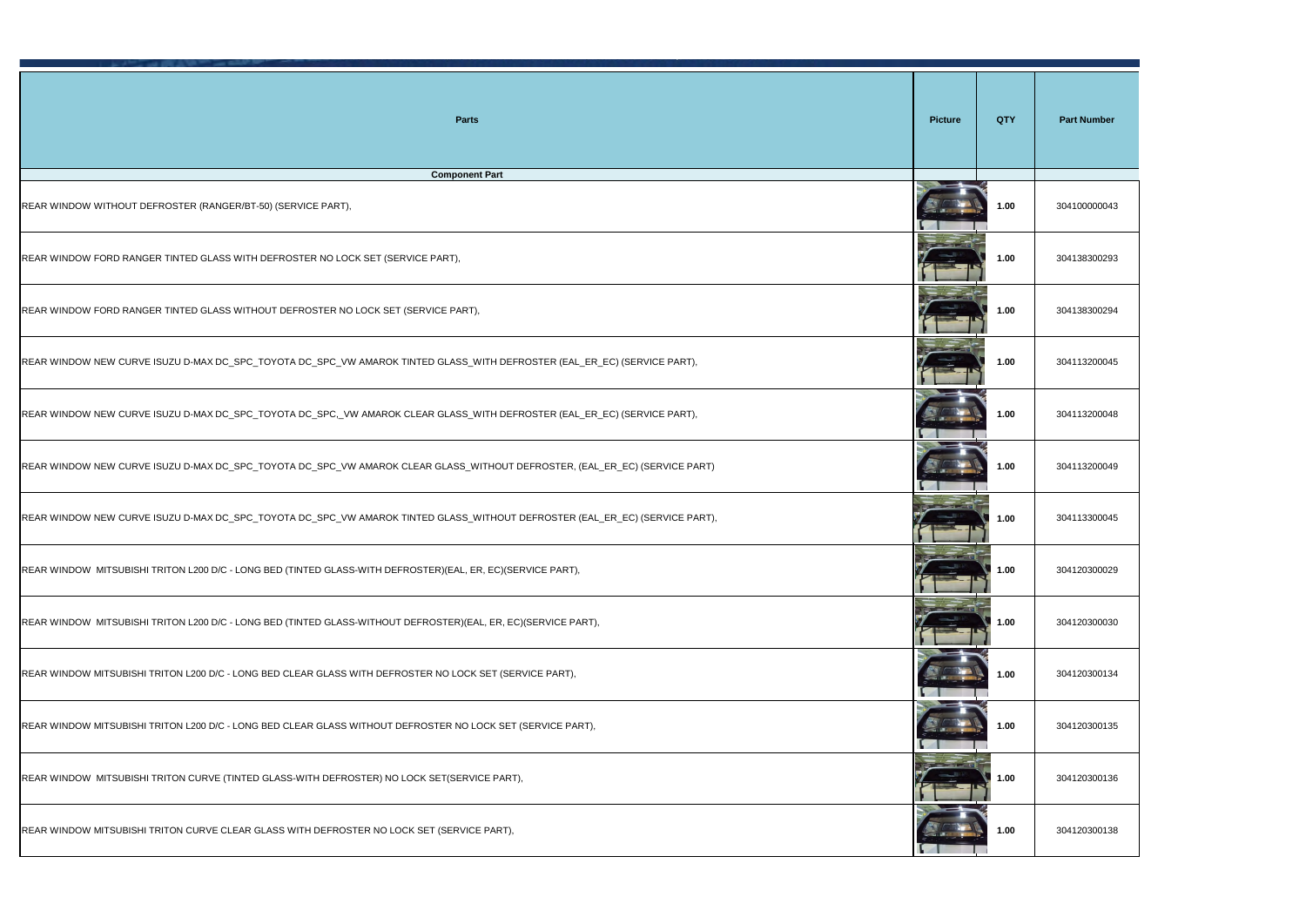| <b>Parts</b>                                     | <b>Picture</b> | <b>QTY</b> | <b>Part Number</b> |
|--------------------------------------------------|----------------|------------|--------------------|
| onent Part                                       |                |            |                    |
|                                                  |                | 1.00       | 304100000043       |
|                                                  |                | 1.00       | 304138300293       |
| ART),                                            |                | 1.00       | 304138300294       |
| SS_WITH DEFROSTER (EAL_ER_EC) (SERVICE PART),    |                | 1.00       | 304113200045       |
| SS_WITH DEFROSTER (EAL_ER_EC) (SERVICE PART),    |                | $1.00$     | 304113200048       |
| SS_WITHOUT DEFROSTER, (EAL_ER_EC) (SERVICE PART) |                | 1.00       | 304113200049       |
| SS_WITHOUT DEFROSTER (EAL_ER_EC) (SERVICE PART), |                | 1.00       | 304113300045       |
| AL, ER, EC)(SERVICE PART),                       |                | 1.00       | 304120300029       |
| R)(EAL, ER, EC)(SERVICE PART),                   |                | 1.00       | 304120300030       |
| OCK SET (SERVICE PART),                          |                | 1.00       | 304120300134       |
| NO LOCK SET (SERVICE PART),                      |                | 1.00       | 304120300135       |
| ERVICE PART),                                    |                | 1.00       | 304120300136       |
| RVICE PART),                                     |                | 1.00       | 304120300138       |

REAR WINDOW WITHOUT DEFROSTER (RANGER/BT-50) (SERVICE PART),

REAR WINDOW FORD RANGER TINTED GLASS WITH DEFROSTER NO LOCK SET (SERVICE PART),

REAR WINDOW FORD RANGER TINTED GLASS WITHOUT DEFROSTER NO LOCK SET (SERVICE PART),

REAR WINDOW NEW CURVE ISUZU D-MAX DC\_SPC\_TOYOTA DC\_SPC\_VW AMAROK TINTED GLASS\_WITH DEFROSTER (EAL\_ER\_EC) (SERVICE PART), **1.00** 304113200045

REAR WINDOW NEW CURVE ISUZU D-MAX DC\_SPC\_TOYOTA DC\_SPC,\_VW AMAROK CLEAR GLASS\_WITH DEFROSTER (EAL\_ER\_EC) (SERVICE PART)

REAR WINDOW NEW CURVE ISUZU D-MAX DC\_SPC\_TOYOTA DC\_SPC\_VW AMAROK CLEAR GLASS\_WITHOUT DEFROSTER, (EAL\_ER\_EC) (SERVICE PA

REAR WINDOW NEW CURVE ISUZU D-MAX DC\_SPC\_TOYOTA DC\_SPC\_VW AMAROK TINTED GLASS\_WITHOUT DEFROSTER (EAL\_ER\_EC) (SERVICE PART), **1.00** 304113300045

REAR WINDOW MITSUBISHI TRITON L200 D/C - LONG BED (TINTED GLASS-WITH DEFROSTER)(EAL, ER, EC)(SERVICE PART), **1.00** 304120300029

REAR WINDOW MITSUBISHI TRITON L200 D/C - LONG BED (TINTED GLASS-WITHOUT DEFROSTER)(EAL, ER, EC)(SERVICE PART),

REAR WINDOW MITSUBISHI TRITON L200 D/C - LONG BED CLEAR GLASS WITH DEFROSTER NO LOCK SET (SERVICE PART),

REAR WINDOW MITSUBISHI TRITON L200 D/C - LONG BED CLEAR GLASS WITHOUT DEFROSTER NO LOCK SET (SERVICE PART),

REAR WINDOW MITSUBISHI TRITON CURVE (TINTED GLASS-WITH DEFROSTER) NO LOCK SET(SERVICE PART),

REAR WINDOW MITSUBISHI TRITON CURVE CLEAR GLASS WITH DEFROSTER NO LOCK SET (SERVICE PART),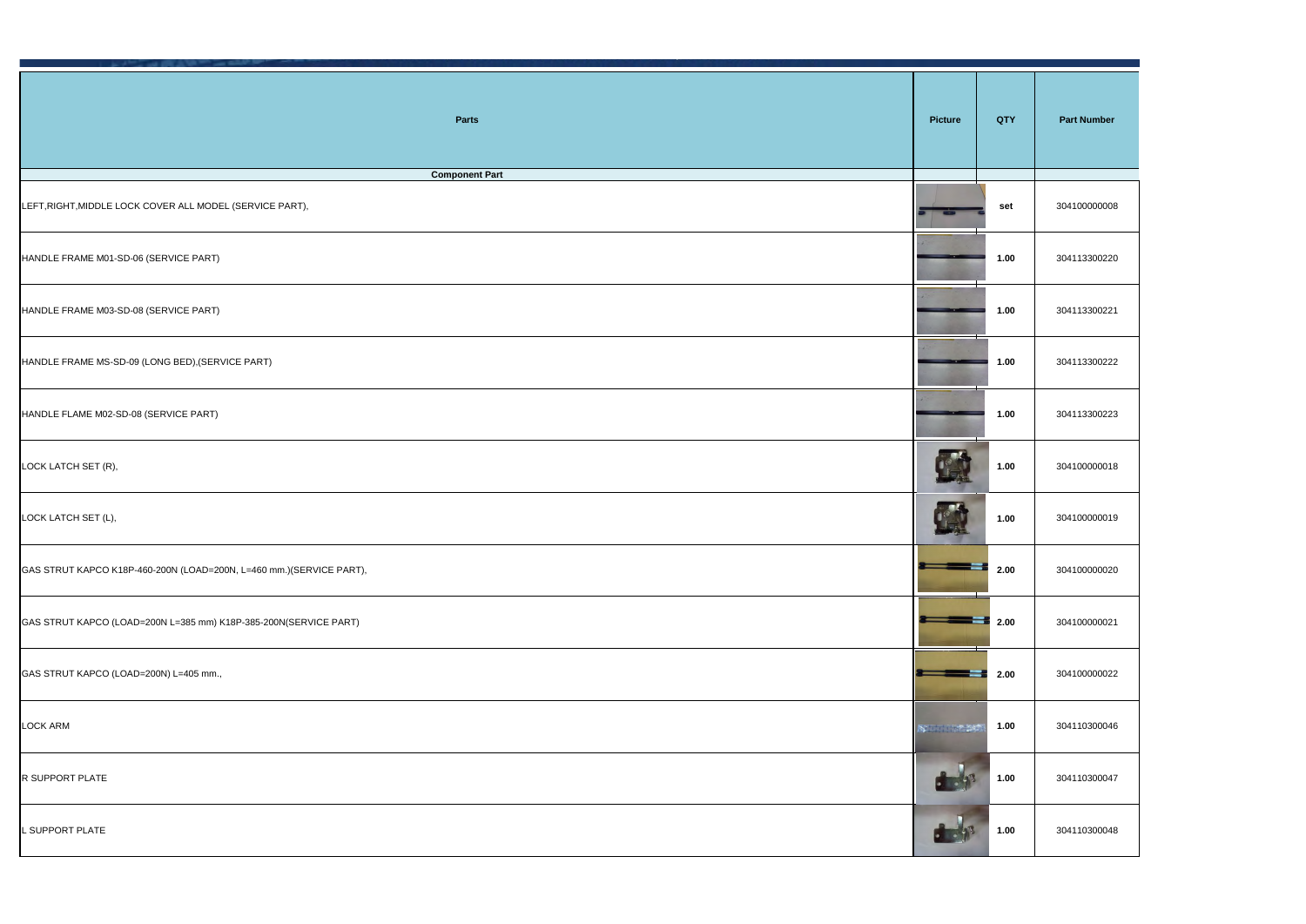| <b>Parts</b><br><b>Part Number</b><br><b>Picture</b><br><b>QTY</b><br>onent Part<br>304100000008<br>set<br>1.00<br>304113300220<br>$1.00$<br>304113300221<br>1.00<br>304113300222<br>1.00<br>304113300223<br>1.00<br>304100000018<br>$1.00$<br>304100000019<br>≡<br>2.00<br>304100000020<br>3<br>2.00<br>304100000021<br>2.00<br>304100000022<br>53<br>1.00<br>304110300046<br>$N$ and $\mathbb{R}$<br>1.00<br>304110300047<br>304110300048<br>1.00 |  |  |
|-----------------------------------------------------------------------------------------------------------------------------------------------------------------------------------------------------------------------------------------------------------------------------------------------------------------------------------------------------------------------------------------------------------------------------------------------------|--|--|
|                                                                                                                                                                                                                                                                                                                                                                                                                                                     |  |  |
|                                                                                                                                                                                                                                                                                                                                                                                                                                                     |  |  |
|                                                                                                                                                                                                                                                                                                                                                                                                                                                     |  |  |
|                                                                                                                                                                                                                                                                                                                                                                                                                                                     |  |  |
|                                                                                                                                                                                                                                                                                                                                                                                                                                                     |  |  |
|                                                                                                                                                                                                                                                                                                                                                                                                                                                     |  |  |
|                                                                                                                                                                                                                                                                                                                                                                                                                                                     |  |  |
|                                                                                                                                                                                                                                                                                                                                                                                                                                                     |  |  |
|                                                                                                                                                                                                                                                                                                                                                                                                                                                     |  |  |
|                                                                                                                                                                                                                                                                                                                                                                                                                                                     |  |  |
|                                                                                                                                                                                                                                                                                                                                                                                                                                                     |  |  |
|                                                                                                                                                                                                                                                                                                                                                                                                                                                     |  |  |
|                                                                                                                                                                                                                                                                                                                                                                                                                                                     |  |  |
|                                                                                                                                                                                                                                                                                                                                                                                                                                                     |  |  |
|                                                                                                                                                                                                                                                                                                                                                                                                                                                     |  |  |

| <b>Parts</b>                                                         | <b>Picture</b> | <b>QTY</b>         | <b>Part Number</b> |
|----------------------------------------------------------------------|----------------|--------------------|--------------------|
| <b>Component Part</b>                                                |                |                    |                    |
| LEFT, RIGHT, MIDDLE LOCK COVER ALL MODEL (SERVICE PART),             |                | set                | 304100000008       |
| HANDLE FRAME M01-SD-06 (SERVICE PART)                                |                | 1.00               | 304113300220       |
| HANDLE FRAME M03-SD-08 (SERVICE PART)                                |                | 1.00               | 304113300221       |
| HANDLE FRAME MS-SD-09 (LONG BED), (SERVICE PART)                     |                | 1.00               | 304113300222       |
| HANDLE FLAME M02-SD-08 (SERVICE PART)                                |                | 1.00               | 304113300223       |
| LOCK LATCH SET (R),                                                  |                | 1.00               | 304100000018       |
| LOCK LATCH SET (L),                                                  |                | 1.00               | 304100000019       |
| GAS STRUT KAPCO K18P-460-200N (LOAD=200N, L=460 mm.) (SERVICE PART), |                | =<br>2.00          | 304100000020       |
| GAS STRUT KAPCO (LOAD=200N L=385 mm) K18P-385-200N(SERVICE PART)     |                | <u>t s</u><br>2.00 | 304100000021       |
| GAS STRUT KAPCO (LOAD=200N) L=405 mm.,                               | <u>est</u>     | 2.00               | 304100000022       |
| <b>LOCK ARM</b>                                                      | $N = 100$      | 1.00               | 304110300046       |
| R SUPPORT PLATE                                                      |                | 1.00               | 304110300047       |
| L SUPPORT PLATE                                                      |                | 1.00               | 304110300048       |
|                                                                      |                |                    |                    |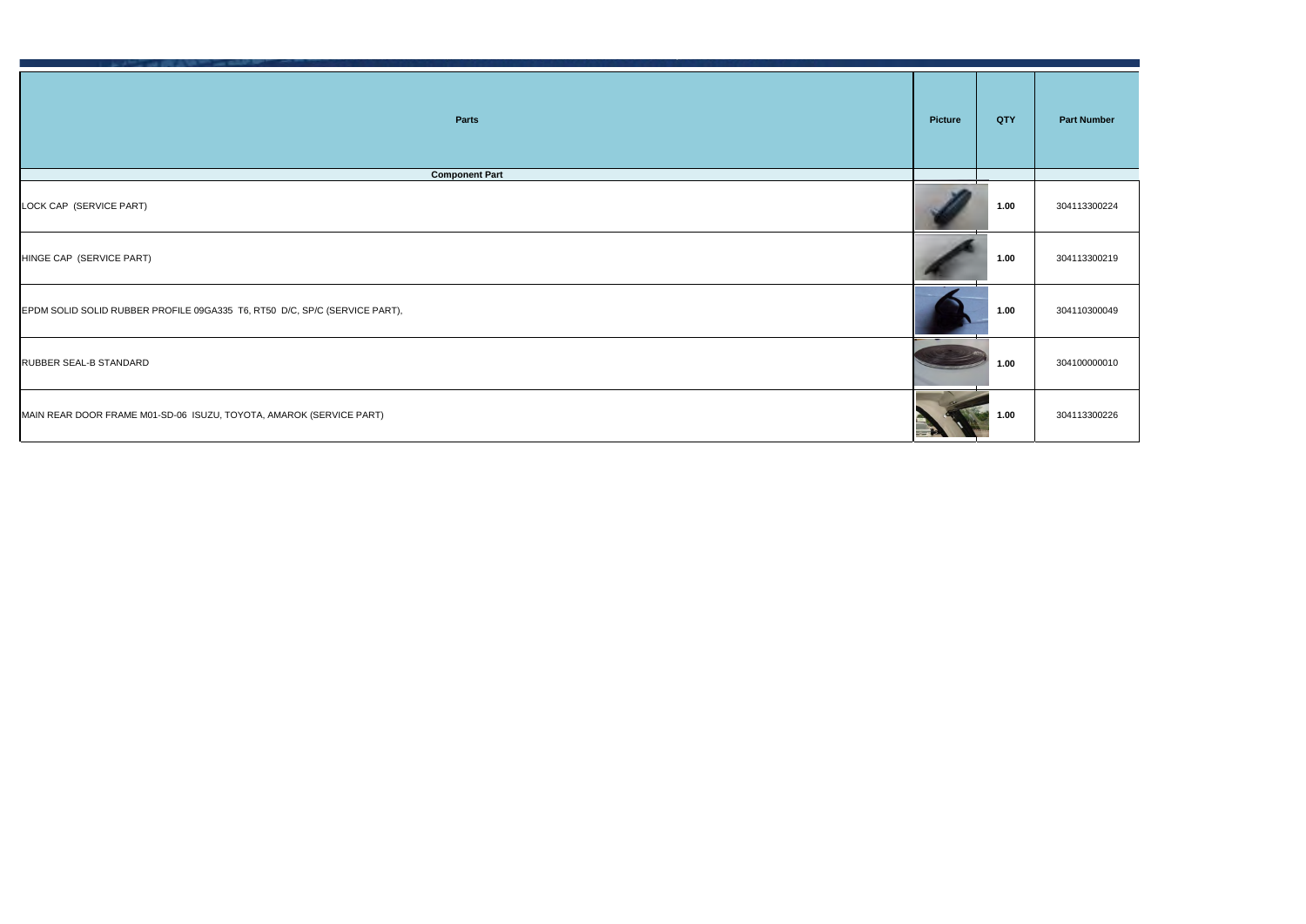| <b>Parts</b> | <b>Picture</b> | QTY    | <b>Part Number</b> |
|--------------|----------------|--------|--------------------|
| onent Part   |                |        |                    |
|              |                | $1.00$ | 304113300224       |
|              |                | 1.00   | 304113300219       |
|              |                | $1.00$ | 304110300049       |
|              |                | 1.00   | 304100000010       |
|              |                | $1.00$ | 304113300226       |

**LOCK CAP (SERVICE PART)** 

**HINGE CAP (SERVICE PART)** 

EPDM SOLID SOLID RUBBER PROFILE 09GA335 T6, RT50 D/C, SP/C (SERVICE PART),

**RUBBER SEAL-B STANDARD** 

MAIN REAR DOOR FRAME M01-SD-06 ISUZU, TOYOTA, AMAROK (SERVICE PART)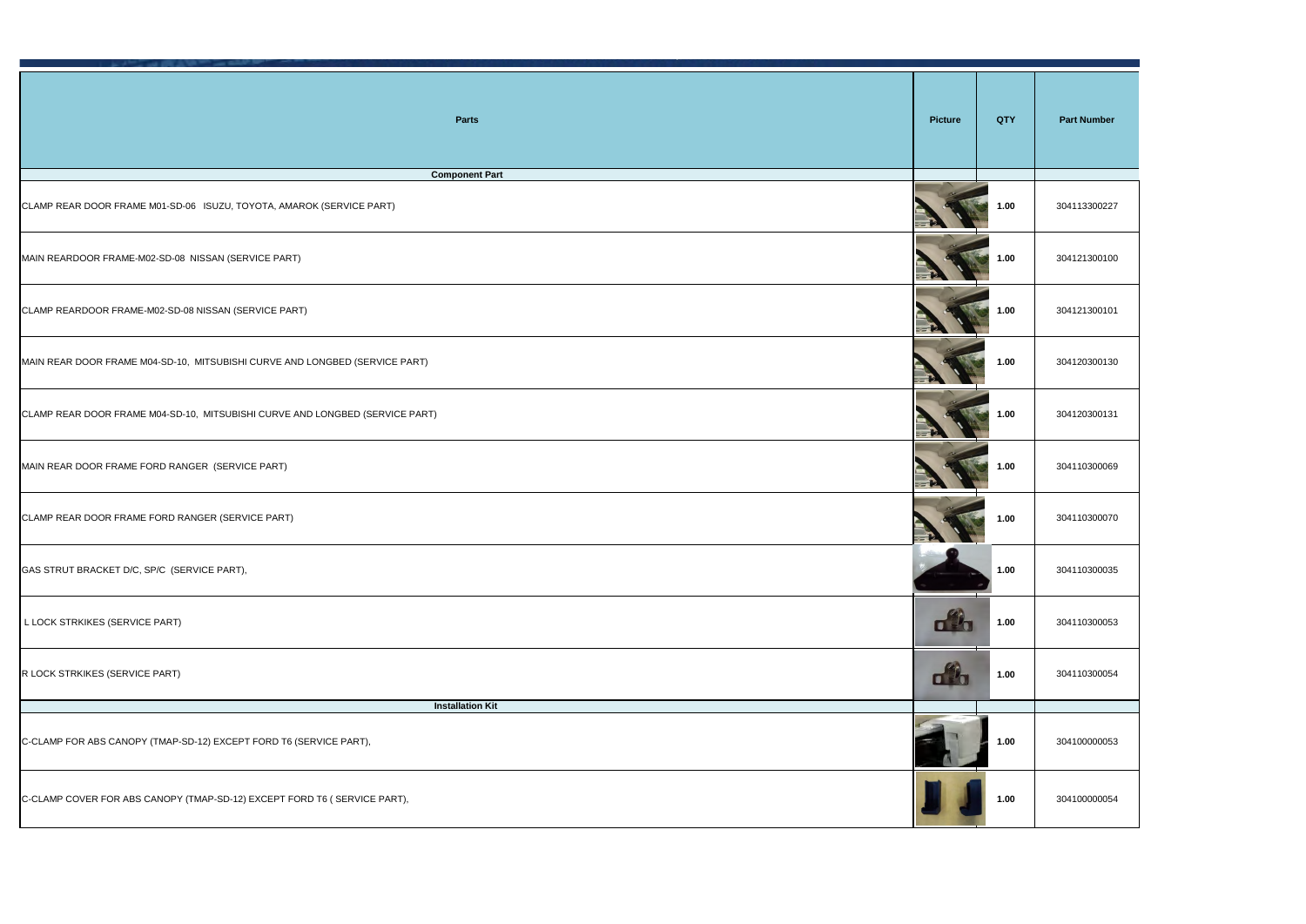| <b>Parts</b>       | <b>Picture</b> | <b>QTY</b> | <b>Part Number</b> |
|--------------------|----------------|------------|--------------------|
|                    |                |            |                    |
| onent Part         |                |            |                    |
|                    |                | 1.00       | 304113300227       |
|                    |                | 1.00       | 304121300100       |
|                    |                | 1.00       | 304121300101       |
|                    |                | $1.00$     | 304120300130       |
|                    |                | 1.00       | 304120300131       |
|                    |                | 1.00       | 304110300069       |
|                    |                | 1.00       | 304110300070       |
|                    |                | 1.00       | 304110300035       |
|                    |                | 1.00       | 304110300053       |
|                    |                | $1.00$     | 304110300054       |
| <b>Ilation Kit</b> |                |            |                    |
|                    |                | 1.00       | 304100000053       |
|                    |                | 1.00       | 304100000054       |

| <b>Parts</b>                                                                 | <b>Picture</b> | <b>QTY</b> | <b>Part Number</b> |
|------------------------------------------------------------------------------|----------------|------------|--------------------|
| <b>Component Part</b>                                                        |                |            |                    |
| CLAMP REAR DOOR FRAME M01-SD-06 ISUZU, TOYOTA, AMAROK (SERVICE PART)         |                | 1.00       | 304113300227       |
| MAIN REARDOOR FRAME-M02-SD-08 NISSAN (SERVICE PART)                          |                | 1.00       | 304121300100       |
| CLAMP REARDOOR FRAME-M02-SD-08 NISSAN (SERVICE PART)                         |                | 1.00       | 304121300101       |
| MAIN REAR DOOR FRAME M04-SD-10, MITSUBISHI CURVE AND LONGBED (SERVICE PART)  |                | 1.00       | 304120300130       |
| CLAMP REAR DOOR FRAME M04-SD-10, MITSUBISHI CURVE AND LONGBED (SERVICE PART) | $\rightarrow$  | 1.00       | 304120300131       |
| MAIN REAR DOOR FRAME FORD RANGER (SERVICE PART)                              |                | 1.00       | 304110300069       |
| CLAMP REAR DOOR FRAME FORD RANGER (SERVICE PART)                             |                | 1.00       | 304110300070       |
| GAS STRUT BRACKET D/C, SP/C (SERVICE PART),                                  |                | 1.00       | 304110300035       |
| L LOCK STRKIKES (SERVICE PART)                                               |                | 1.00       | 304110300053       |
| R LOCK STRKIKES (SERVICE PART)                                               |                | 1.00       | 304110300054       |
| <b>Installation Kit</b>                                                      |                |            |                    |
| C-CLAMP FOR ABS CANOPY (TMAP-SD-12) EXCEPT FORD T6 (SERVICE PART),           |                | $1.00$     | 304100000053       |
| C-CLAMP COVER FOR ABS CANOPY (TMAP-SD-12) EXCEPT FORD T6 ( SERVICE PART),    |                | 1.00       | 304100000054       |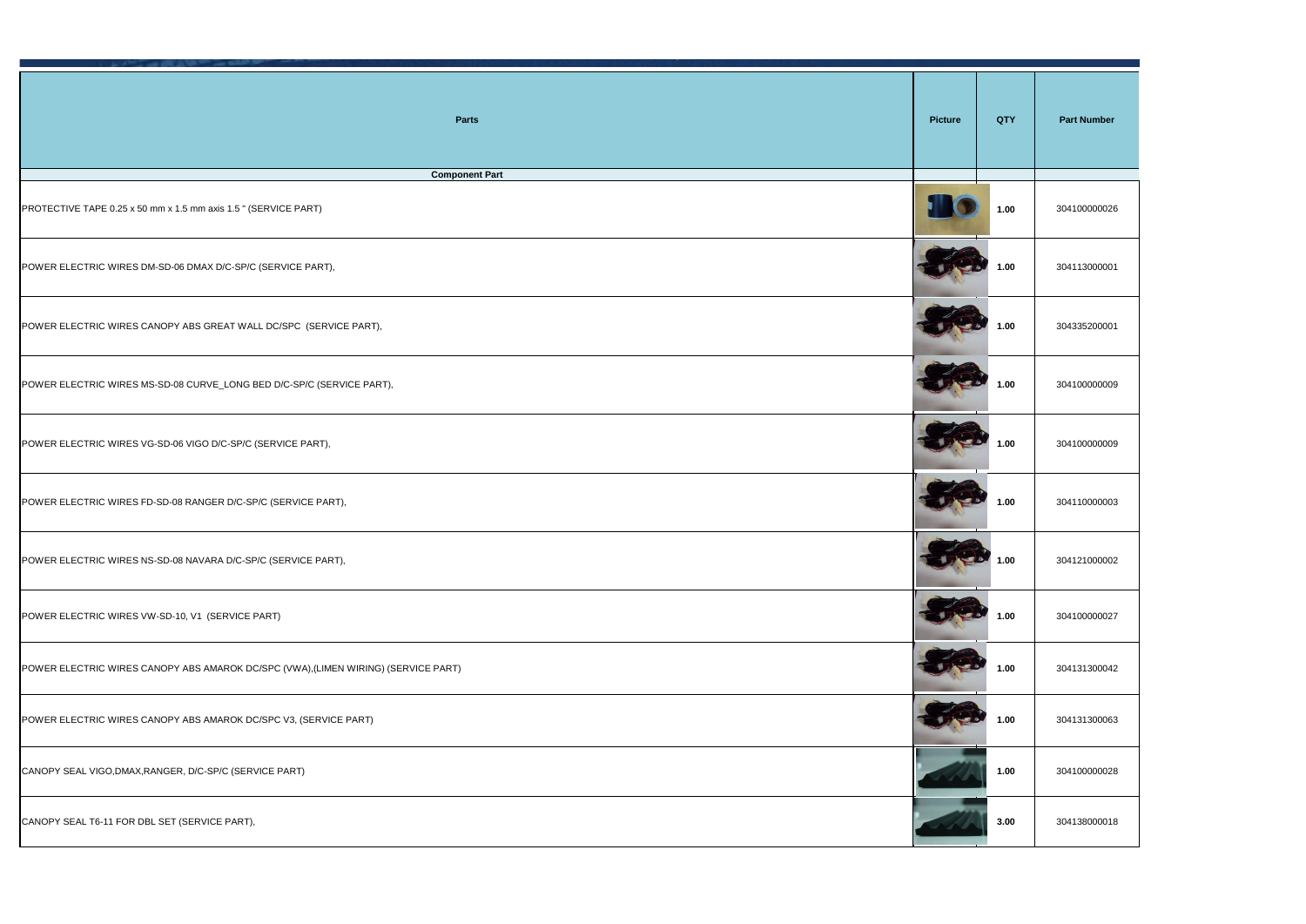| <b>Parts</b>     | <b>Picture</b> | QTY    | <b>Part Number</b> |
|------------------|----------------|--------|--------------------|
| onent Part       |                |        |                    |
|                  |                | 1.00   | 304100000026       |
|                  |                | $1.00$ | 304113000001       |
|                  |                | $1.00$ | 304335200001       |
|                  |                | 1.00   | 304100000009       |
|                  |                | $1.00$ | 304100000009       |
|                  |                | $1.00$ | 304110000003       |
|                  |                | $1.00$ | 304121000002       |
|                  |                | $1.00$ | 304100000027       |
| $\left( \right)$ |                | 1.00   | 304131300042       |
|                  |                | $1.00$ | 304131300063       |
|                  |                | 1.00   | 304100000028       |
|                  |                | 3.00   | 304138000018       |

**Component Part PROTECTIVE TAPE 0.25 x 50 mm x 1.5 mm axis 1.5 " (SERVICE PART)** POWER ELECTRIC WIRES DM-SD-06 DMAX D/C-SP/C (SERVICE PART), POWER ELECTRIC WIRES CANOPY ABS GREAT WALL DC/SPC (SERVICE PART), POWER ELECTRIC WIRES MS-SD-08 CURVE\_LONG BED D/C-SP/C (SERVICE PART), POWER ELECTRIC WIRES VG-SD-06 VIGO D/C-SP/C (SERVICE PART), POWER ELECTRIC WIRES FD-SD-08 RANGER D/C-SP/C (SERVICE PART), POWER ELECTRIC WIRES NS-SD-08 NAVARA D/C-SP/C (SERVICE PART), POWER ELECTRIC WIRES VW-SD-10, V1 (SERVICE PART) POWER ELECTRIC WIRES CANOPY ABS AMAROK DC/SPC (VWA), (LIMEN WIRING) (SERVICE PART) POWER ELECTRIC WIRES CANOPY ABS AMAROK DC/SPC V3, (SERVICE PART) CANOPY SEAL VIGO,DMAX,RANGER, D/C-SP/C (SERVICE PART)

CANOPY SEAL T6-11 FOR DBL SET (SERVICE PART),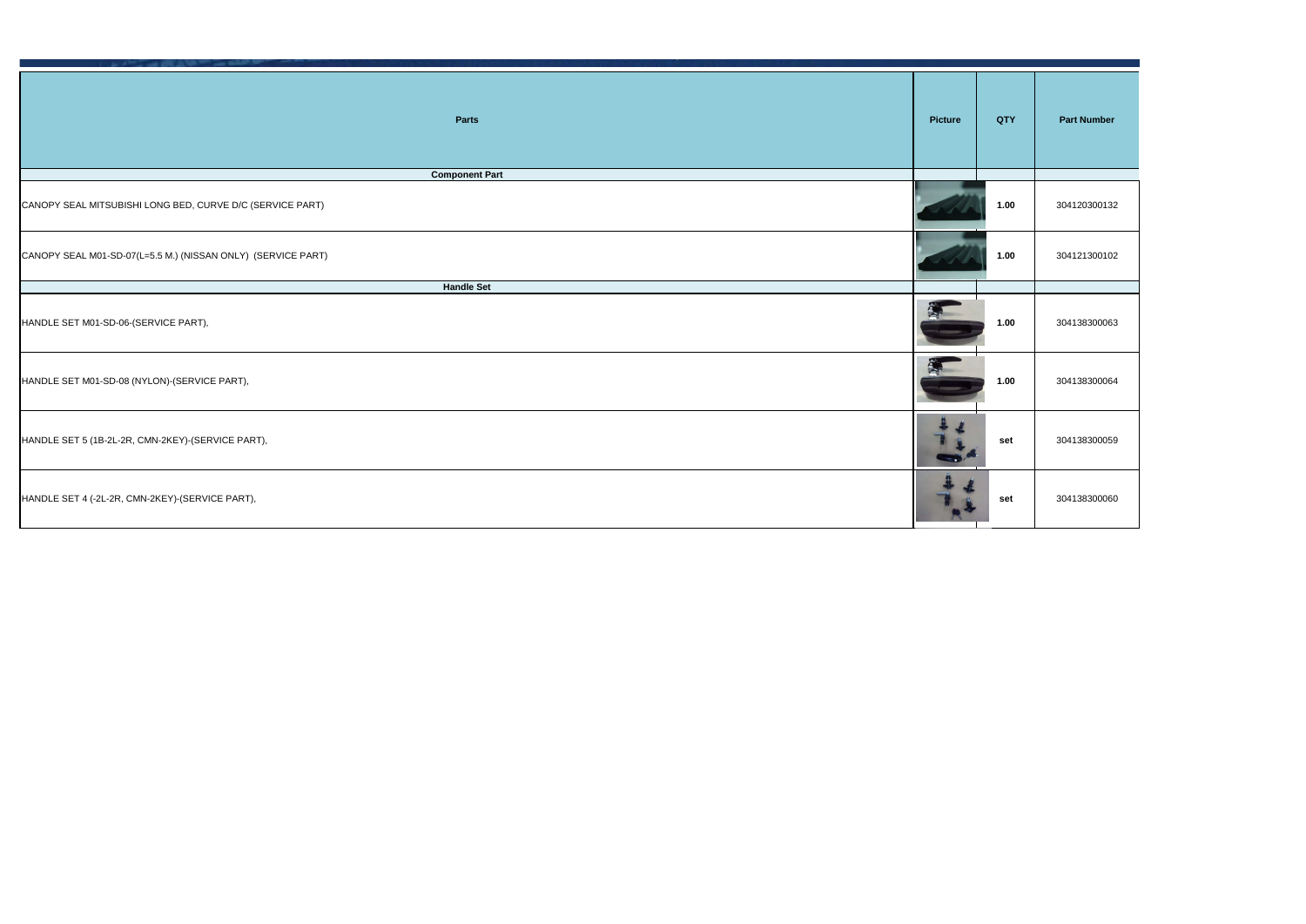| <b>Parts</b> | <b>Picture</b> | <b>QTY</b> | <b>Part Number</b> |
|--------------|----------------|------------|--------------------|
| onent Part   |                |            |                    |
|              |                | 1.00       | 304120300132       |
|              |                | 1.00       | 304121300102       |
| ndle Set     |                |            |                    |
|              | <b>RA</b>      | 1.00       | 304138300063       |
|              | <b>A</b>       | 1.00       | 304138300064       |
|              |                | set        | 304138300059       |
|              |                | set        | 304138300060       |

| <b>Parts</b>                                                 | <b>Picture</b> | <b>QTY</b> | <b>Part Number</b> |
|--------------------------------------------------------------|----------------|------------|--------------------|
| <b>Component Part</b>                                        |                |            |                    |
| CANOPY SEAL MITSUBISHI LONG BED, CURVE D/C (SERVICE PART)    |                | 1.00       | 304120300132       |
| CANOPY SEAL M01-SD-07(L=5.5 M.) (NISSAN ONLY) (SERVICE PART) |                | 1.00       | 304121300102       |
| <b>Handle Set</b>                                            |                |            |                    |
| HANDLE SET M01-SD-06-(SERVICE PART),                         |                | 1.00       | 304138300063       |
| HANDLE SET M01-SD-08 (NYLON)-(SERVICE PART),                 |                | 1.00       | 304138300064       |
| HANDLE SET 5 (1B-2L-2R, CMN-2KEY)-(SERVICE PART),            | $\frac{1}{2}$  | set        | 304138300059       |
| HANDLE SET 4 (-2L-2R, CMN-2KEY)-(SERVICE PART),              |                | set        | 304138300060       |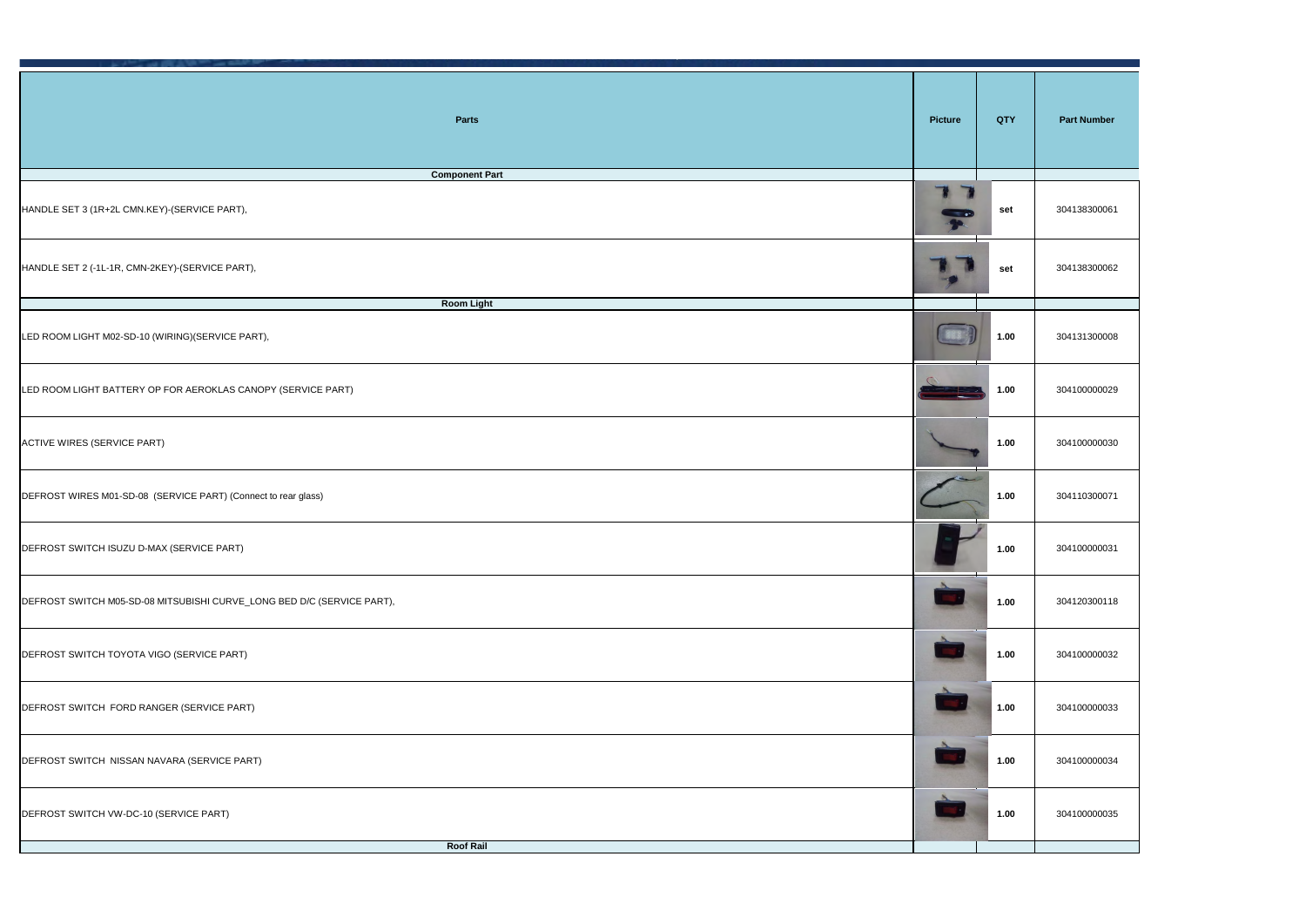| <b>Parts</b> | <b>Picture</b>           | QTY    | <b>Part Number</b> |
|--------------|--------------------------|--------|--------------------|
|              |                          |        |                    |
| onent Part   | $\overline{\phantom{a}}$ | set    | 304138300061       |
|              |                          | set    | 304138300062       |
| om Light     |                          |        |                    |
|              |                          | $1.00$ | 304131300008       |
|              |                          | 1.00   | 304100000029       |
|              |                          | 1.00   | 304100000030       |
|              |                          | 1.00   | 304110300071       |
|              |                          | 1.00   | 304100000031       |
|              |                          | 1.00   | 304120300118       |
|              |                          | 1.00   | 304100000032       |
|              |                          | 1.00   | 304100000033       |
|              | $\mathbf{x}$             | 1.00   | 304100000034       |
|              |                          | 1.00   | 304100000035       |
| pof Rail     |                          |        |                    |
|              |                          |        |                    |

| <b>Parts</b>                                                           | <b>Picture</b> | <b>QTY</b> | <b>Part Number</b> |
|------------------------------------------------------------------------|----------------|------------|--------------------|
| <b>Component Part</b>                                                  |                |            |                    |
| HANDLE SET 3 (1R+2L CMN.KEY)-(SERVICE PART),                           | $\mathbf{r}$   | set        | 304138300061       |
| HANDLE SET 2 (-1L-1R, CMN-2KEY)-(SERVICE PART),                        |                | set        | 304138300062       |
| <b>Room Light</b>                                                      |                |            |                    |
| LED ROOM LIGHT M02-SD-10 (WIRING)(SERVICE PART),                       |                | 1.00       | 304131300008       |
| LED ROOM LIGHT BATTERY OP FOR AEROKLAS CANOPY (SERVICE PART)           |                | 1.00       | 304100000029       |
| ACTIVE WIRES (SERVICE PART)                                            |                | 1.00       | 304100000030       |
| DEFROST WIRES M01-SD-08 (SERVICE PART) (Connect to rear glass)         |                | 1.00       | 304110300071       |
| DEFROST SWITCH ISUZU D-MAX (SERVICE PART)                              |                | 1.00       | 304100000031       |
| DEFROST SWITCH M05-SD-08 MITSUBISHI CURVE_LONG BED D/C (SERVICE PART), |                | 1.00       | 304120300118       |
| DEFROST SWITCH TOYOTA VIGO (SERVICE PART)                              |                | 1.00       | 304100000032       |
| DEFROST SWITCH FORD RANGER (SERVICE PART)                              |                | 1.00       | 304100000033       |
| DEFROST SWITCH NISSAN NAVARA (SERVICE PART)                            |                | 1.00       | 304100000034       |
| DEFROST SWITCH VW-DC-10 (SERVICE PART)                                 |                | 1.00       | 304100000035       |
| <b>Roof Rail</b>                                                       |                |            |                    |
|                                                                        |                |            |                    |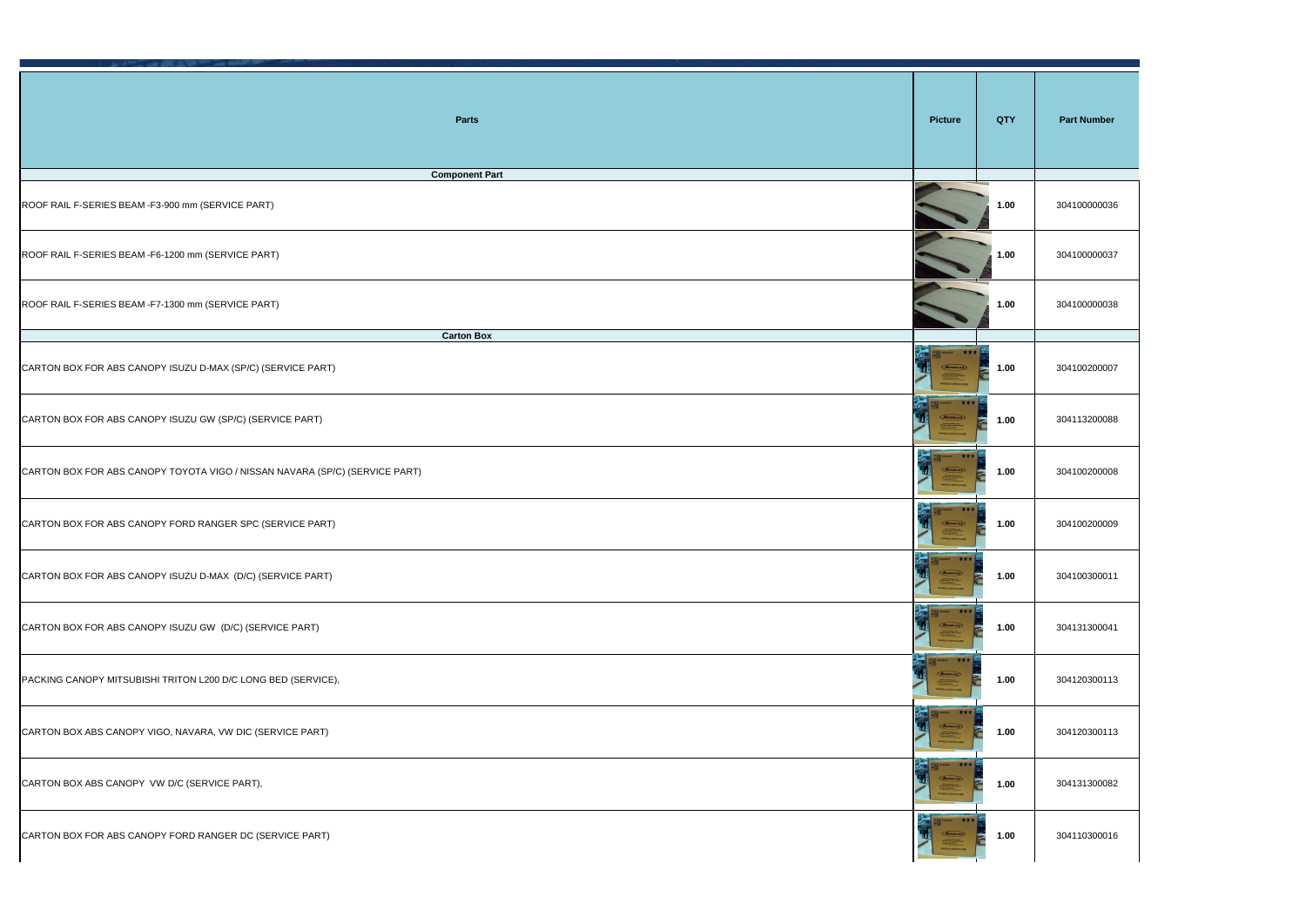| <b>Parts</b> | <b>Picture</b>                                                         | <b>QTY</b>                 | <b>Part Number</b> |
|--------------|------------------------------------------------------------------------|----------------------------|--------------------|
| onent Part   |                                                                        |                            |                    |
|              |                                                                        | 1.00                       | 304100000036       |
|              |                                                                        | 1.00                       | 304100000037       |
|              |                                                                        | 1.00                       | 304100000038       |
| rton Box     |                                                                        |                            |                    |
|              | $\bullet$ $\bullet$<br>AEROKLAS                                        | 1.00<br>E                  | 304100200007       |
|              | E E F<br>111 5<br>$\frac{1}{2}$<br><b>AEROKLAS</b><br>HANDLE WITH CARE | $\frac{1}{2}$<br>E<br>1.00 | 304113200088       |
|              | ***<br>EROKLAS                                                         | 1.00<br>E                  | 304100200008       |
|              | ***<br><b>ENDIKLAS</b>                                                 | 1.00<br>E                  | 304100200009       |
|              | ***<br>AEROKLAS<br>HANDLE WITH CARE                                    | 1.00<br>E                  | 304100300011       |
|              | ***<br><b>AEROKLAS</b><br>HANDLE WITH CARE                             | E<br>1.00                  | 304131300041       |
|              | 111<br><b>VGILE</b><br><b>EROKLAS</b><br>E<br><b>ANDLE WITH CARE</b>   | 1.00                       | 304120300113       |
|              | $$<br>ARROKLAS                                                         | E<br>1.00                  | 304120300113       |
|              | <b>OKLAS</b><br>ANDLE WITH CARE                                        | E<br>1.00                  | 304131300082       |
|              | <b>OKLAS</b><br>ANDLE WITH CARE                                        | 1.00<br>E                  | 304110300016       |

| <b>Parts</b>                                                                | <b>Picture</b>                                                                  | <b>QTY</b> | <b>Part Number</b> |
|-----------------------------------------------------------------------------|---------------------------------------------------------------------------------|------------|--------------------|
| <b>Component Part</b>                                                       |                                                                                 |            |                    |
| ROOF RAIL F-SERIES BEAM -F3-900 mm (SERVICE PART)                           |                                                                                 | 1.00       | 304100000036       |
| ROOF RAIL F-SERIES BEAM - F6-1200 mm (SERVICE PART)                         |                                                                                 | 1.00       | 304100000037       |
| ROOF RAIL F-SERIES BEAM -F7-1300 mm (SERVICE PART)                          |                                                                                 | 1.00       | 304100000038       |
| <b>Carton Box</b>                                                           |                                                                                 |            |                    |
| CARTON BOX FOR ABS CANOPY ISUZU D-MAX (SP/C) (SERVICE PART)                 | <b>AEROKLAS</b><br><b>HATH STREET AND CANNOT</b><br><b>HANDLE WITH CARE</b>     | 1.00       | 304100200007       |
| CARTON BOX FOR ABS CANOPY ISUZU GW (SP/C) (SERVICE PART)                    | T FRAGILE ++<br><b>THE</b>                                                      | F<br>1.00  | 304113200088       |
| CARTON BOX FOR ABS CANOPY TOYOTA VIGO / NISSAN NAVARA (SP/C) (SERVICE PART) | 111<br><b>AEROKLAS</b>                                                          | 1.00       | 304100200008       |
| CARTON BOX FOR ABS CANOPY FORD RANGER SPC (SERVICE PART)                    |                                                                                 | 1.00       | 304100200009       |
| CARTON BOX FOR ABS CANOPY ISUZU D-MAX (D/C) (SERVICE PART)                  |                                                                                 | 1.00       | 304100300011       |
| CARTON BOX FOR ABS CANOPY ISUZU GW (D/C) (SERVICE PART)                     | -                                                                               | 1.00       | 304131300041       |
| PACKING CANOPY MITSUBISHI TRITON L200 D/C LONG BED (SERVICE),               |                                                                                 | 1.00       | 304120300113       |
| CARTON BOX ABS CANOPY VIGO, NAVARA, VW DIC (SERVICE PART)                   | FRAGLE <b>***</b><br><b>EXERCISE</b><br>HANDLE WITH CARE                        | 1.00       | 304120300113       |
| CARTON BOX ABS CANOPY VW D/C (SERVICE PART),                                | FRAGILE ###<br><b>AEROKLAS</b><br><b>The American State</b><br>HANDLE WITH CARE | 1.00       | 304131300082       |
| CARTON BOX FOR ABS CANOPY FORD RANGER DC (SERVICE PART)                     | $\frac{1}{\sqrt{2}}$<br>THE FRAGILE ###<br><b>AEROKLAS</b>                      | 1.00<br>空  | 304110300016       |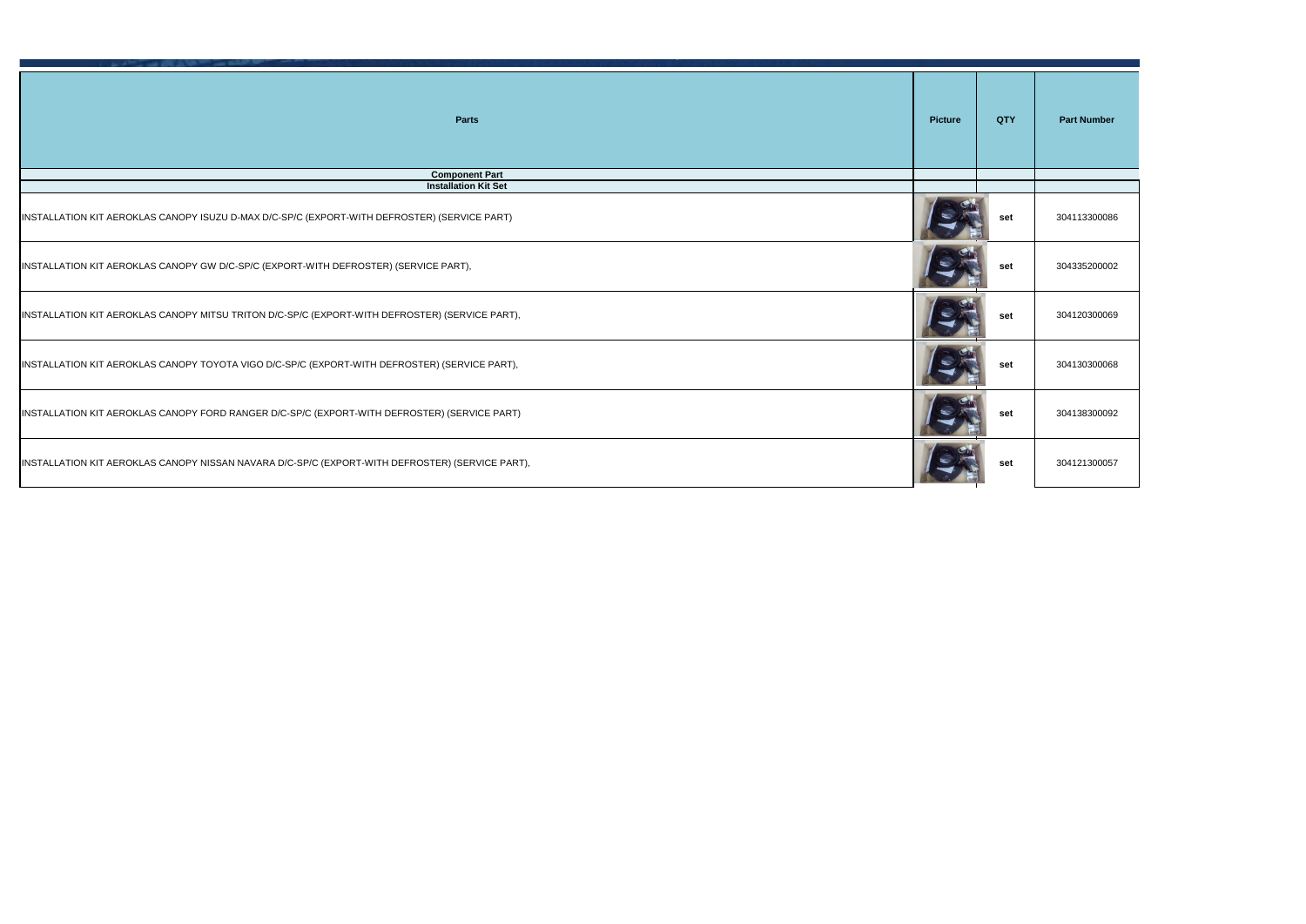| <b>Parts</b>                                                                                    | <b>Picture</b> | <b>QTY</b> | <b>Part Number</b> |
|-------------------------------------------------------------------------------------------------|----------------|------------|--------------------|
| <b>Component Part</b>                                                                           |                |            |                    |
| <b>Installation Kit Set</b>                                                                     |                |            |                    |
| INSTALLATION KIT AEROKLAS CANOPY ISUZU D-MAX D/C-SP/C (EXPORT-WITH DEFROSTER) (SERVICE PART)    |                | set        | 304113300086       |
| INSTALLATION KIT AEROKLAS CANOPY GW D/C-SP/C (EXPORT-WITH DEFROSTER) (SERVICE PART),            |                | set        | 304335200002       |
| INSTALLATION KIT AEROKLAS CANOPY MITSU TRITON D/C-SP/C (EXPORT-WITH DEFROSTER) (SERVICE PART),  |                | set        | 304120300069       |
| INSTALLATION KIT AEROKLAS CANOPY TOYOTA VIGO D/C-SP/C (EXPORT-WITH DEFROSTER) (SERVICE PART),   |                | set        | 304130300068       |
| INSTALLATION KIT AEROKLAS CANOPY FORD RANGER D/C-SP/C (EXPORT-WITH DEFROSTER) (SERVICE PART)    | $C_{\rm HI}$   | set        | 304138300092       |
| INSTALLATION KIT AEROKLAS CANOPY NISSAN NAVARA D/C-SP/C (EXPORT-WITH DEFROSTER) (SERVICE PART), |                | set        | 304121300057       |
|                                                                                                 |                |            |                    |